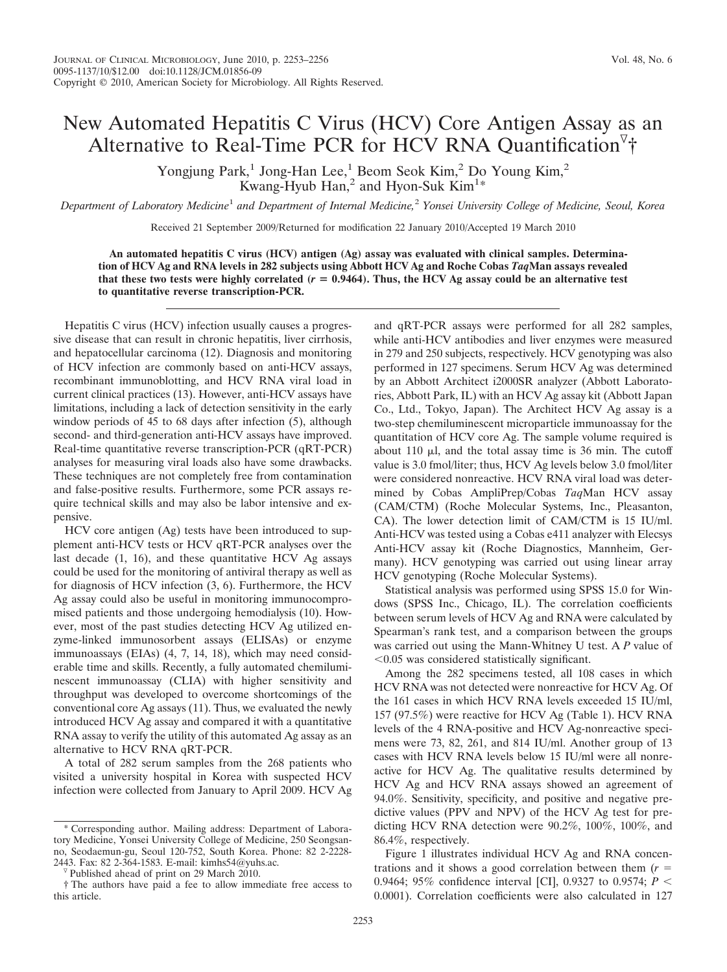## New Automated Hepatitis C Virus (HCV) Core Antigen Assay as an Alternative to Real-Time PCR for HCV RNA Quantification<sup>7</sup>†

Yongjung Park,<sup>1</sup> Jong-Han Lee,<sup>1</sup> Beom Seok Kim,<sup>2</sup> Do Young Kim,<sup>2</sup> Kwang-Hyub Han,<sup>2</sup> and Hyon-Suk Kim<sup>1\*</sup>

*Department of Laboratory Medicine*<sup>1</sup> *and Department of Internal Medicine,*<sup>2</sup> *Yonsei University College of Medicine, Seoul, Korea*

Received 21 September 2009/Returned for modification 22 January 2010/Accepted 19 March 2010

**An automated hepatitis C virus (HCV) antigen (Ag) assay was evaluated with clinical samples. Determination of HCV Ag and RNA levels in 282 subjects using Abbott HCV Ag and Roche Cobas** *Taq***Man assays revealed** that these two tests were highly correlated  $(r = 0.9464)$ . Thus, the HCV Ag assay could be an alternative test **to quantitative reverse transcription-PCR.**

Hepatitis C virus (HCV) infection usually causes a progressive disease that can result in chronic hepatitis, liver cirrhosis, and hepatocellular carcinoma (12). Diagnosis and monitoring of HCV infection are commonly based on anti-HCV assays, recombinant immunoblotting, and HCV RNA viral load in current clinical practices (13). However, anti-HCV assays have limitations, including a lack of detection sensitivity in the early window periods of 45 to 68 days after infection  $(5)$ , although second- and third-generation anti-HCV assays have improved. Real-time quantitative reverse transcription-PCR (qRT-PCR) analyses for measuring viral loads also have some drawbacks. These techniques are not completely free from contamination and false-positive results. Furthermore, some PCR assays require technical skills and may also be labor intensive and expensive.

HCV core antigen (Ag) tests have been introduced to supplement anti-HCV tests or HCV qRT-PCR analyses over the last decade (1, 16), and these quantitative HCV Ag assays could be used for the monitoring of antiviral therapy as well as for diagnosis of HCV infection (3, 6). Furthermore, the HCV Ag assay could also be useful in monitoring immunocompromised patients and those undergoing hemodialysis (10). However, most of the past studies detecting HCV Ag utilized enzyme-linked immunosorbent assays (ELISAs) or enzyme immunoassays (EIAs) (4, 7, 14, 18), which may need considerable time and skills. Recently, a fully automated chemiluminescent immunoassay (CLIA) with higher sensitivity and throughput was developed to overcome shortcomings of the conventional core Ag assays (11). Thus, we evaluated the newly introduced HCV Ag assay and compared it with a quantitative RNA assay to verify the utility of this automated Ag assay as an alternative to HCV RNA qRT-PCR.

A total of 282 serum samples from the 268 patients who visited a university hospital in Korea with suspected HCV infection were collected from January to April 2009. HCV Ag and qRT-PCR assays were performed for all 282 samples, while anti-HCV antibodies and liver enzymes were measured in 279 and 250 subjects, respectively. HCV genotyping was also performed in 127 specimens. Serum HCV Ag was determined by an Abbott Architect i2000SR analyzer (Abbott Laboratories, Abbott Park, IL) with an HCV Ag assay kit (Abbott Japan Co., Ltd., Tokyo, Japan). The Architect HCV Ag assay is a two-step chemiluminescent microparticle immunoassay for the quantitation of HCV core Ag. The sample volume required is about 110  $\mu$ l, and the total assay time is 36 min. The cutoff value is 3.0 fmol/liter; thus, HCV Ag levels below 3.0 fmol/liter were considered nonreactive. HCV RNA viral load was determined by Cobas AmpliPrep/Cobas *Taq*Man HCV assay (CAM/CTM) (Roche Molecular Systems, Inc., Pleasanton, CA). The lower detection limit of CAM/CTM is 15 IU/ml. Anti-HCV was tested using a Cobas e411 analyzer with Elecsys Anti-HCV assay kit (Roche Diagnostics, Mannheim, Germany). HCV genotyping was carried out using linear array HCV genotyping (Roche Molecular Systems).

Statistical analysis was performed using SPSS 15.0 for Windows (SPSS Inc., Chicago, IL). The correlation coefficients between serum levels of HCV Ag and RNA were calculated by Spearman's rank test, and a comparison between the groups was carried out using the Mann-Whitney U test. A *P* value of -0.05 was considered statistically significant.

Among the 282 specimens tested, all 108 cases in which HCV RNA was not detected were nonreactive for HCV Ag. Of the 161 cases in which HCV RNA levels exceeded 15 IU/ml, 157 (97.5%) were reactive for HCV Ag (Table 1). HCV RNA levels of the 4 RNA-positive and HCV Ag-nonreactive specimens were 73, 82, 261, and 814 IU/ml. Another group of 13 cases with HCV RNA levels below 15 IU/ml were all nonreactive for HCV Ag. The qualitative results determined by HCV Ag and HCV RNA assays showed an agreement of 94.0%. Sensitivity, specificity, and positive and negative predictive values (PPV and NPV) of the HCV Ag test for predicting HCV RNA detection were 90.2%, 100%, 100%, and 86.4%, respectively.

Figure 1 illustrates individual HCV Ag and RNA concentrations and it shows a good correlation between them  $(r =$ 0.9464; 95% confidence interval [CI], 0.9327 to 0.9574; *P* - 0.0001). Correlation coefficients were also calculated in 127

Corresponding author. Mailing address: Department of Laboratory Medicine, Yonsei University College of Medicine, 250 Seongsanno, Seodaemun-gu, Seoul 120-752, South Korea. Phone: 82 2-2228- 2443. Fax: 82 2-364-1583. E-mail: kimhs54@yuhs.ac. <sup>v</sup> Published ahead of print on 29 March 2010.

<sup>†</sup> The authors have paid a fee to allow immediate free access to this article.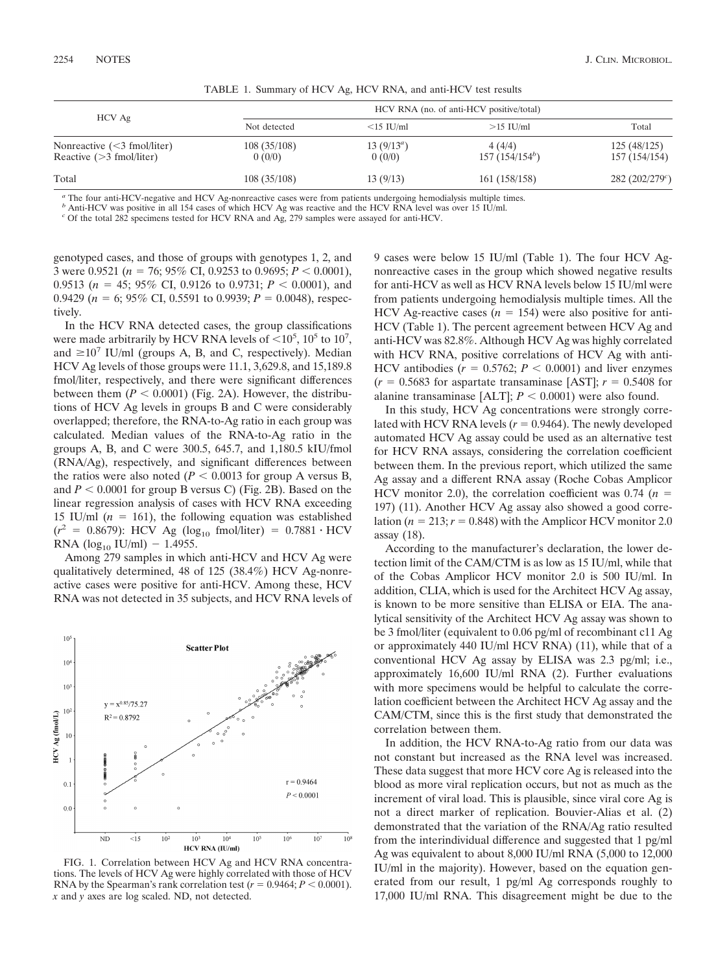| $HCV$ Ag                                                     | HCV RNA (no. of anti-HCV positive/total) |                         |                                      |                              |
|--------------------------------------------------------------|------------------------------------------|-------------------------|--------------------------------------|------------------------------|
|                                                              | Not detected                             | $\leq$ 15 IU/ml         | $>15$ IU/ml                          | Total                        |
| Nonreactive $(<$ 3 fmol/liter)<br>Reactive $(>3$ fmol/liter) | 108(35/108)<br>0(0/0)                    | 13 $(9/13^a)$<br>0(0/0) | 4(4/4)<br>157(154/154 <sup>b</sup> ) | 125(48/125)<br>157 (154/154) |
| Total                                                        | 108(35/108)                              | 13(9/13)                | 161 (158/158)                        | 282(202/279)                 |

TABLE 1. Summary of HCV Ag, HCV RNA, and anti-HCV test results

*<sup>a</sup>* The four anti-HCV-negative and HCV Ag-nonreactive cases were from patients undergoing hemodialysis multiple times.

*b* Anti-HCV was positive in all 154 cases of which HCV Ag was reactive and the HCV RNA level was over 15 IU/ml.

*<sup>c</sup>* Of the total 282 specimens tested for HCV RNA and Ag, 279 samples were assayed for anti-HCV.

genotyped cases, and those of groups with genotypes 1, 2, and 3 were 0.9521 (*n* 76; 95% CI, 0.9253 to 0.9695; *P* - 0.0001), 0.9513 ( $n = 45$ ; 95% CI, 0.9126 to 0.9731;  $P < 0.0001$ ), and 0.9429 ( $n = 6$ ; 95% CI, 0.5591 to 0.9939;  $P = 0.0048$ ), respectively.

In the HCV RNA detected cases, the group classifications were made arbitrarily by HCV RNA levels of  $\leq 10^5$ ,  $10^5$  to  $10^7$ , and  $\geq 10^7$  IU/ml (groups A, B, and C, respectively). Median HCV Ag levels of those groups were 11.1, 3,629.8, and 15,189.8 fmol/liter, respectively, and there were significant differences between them  $(P < 0.0001)$  (Fig. 2A). However, the distributions of HCV Ag levels in groups B and C were considerably overlapped; therefore, the RNA-to-Ag ratio in each group was calculated. Median values of the RNA-to-Ag ratio in the groups A, B, and C were 300.5, 645.7, and 1,180.5 kIU/fmol (RNA/Ag), respectively, and significant differences between the ratios were also noted  $(P < 0.0013$  for group A versus B, and  $P < 0.0001$  for group B versus C) (Fig. 2B). Based on the linear regression analysis of cases with HCV RNA exceeding 15 IU/ml  $(n = 161)$ , the following equation was established  $(r^2 = 0.8679)$ : HCV Ag (log<sub>10</sub> fmol/liter) = 0.7881 · HCV RNA ( $log_{10}$  IU/ml) - 1.4955.

Among 279 samples in which anti-HCV and HCV Ag were qualitatively determined, 48 of 125 (38.4%) HCV Ag-nonreactive cases were positive for anti-HCV. Among these, HCV RNA was not detected in 35 subjects, and HCV RNA levels of



FIG. 1. Correlation between HCV Ag and HCV RNA concentrations. The levels of HCV Ag were highly correlated with those of HCV RNA by the Spearman's rank correlation test  $(r = 0.9464; P < 0.0001)$ . *x* and *y* axes are log scaled. ND, not detected.

9 cases were below 15 IU/ml (Table 1). The four HCV Agnonreactive cases in the group which showed negative results for anti-HCV as well as HCV RNA levels below 15 IU/ml were from patients undergoing hemodialysis multiple times. All the HCV Ag-reactive cases  $(n = 154)$  were also positive for anti-HCV (Table 1). The percent agreement between HCV Ag and anti-HCV was 82.8%. Although HCV Ag was highly correlated with HCV RNA, positive correlations of HCV Ag with anti-HCV antibodies  $(r = 0.5762; P < 0.0001)$  and liver enzymes  $(r = 0.5683$  for aspartate transaminase [AST];  $r = 0.5408$  for alanine transaminase  $[ALT]$ ;  $P < 0.0001$ ) were also found.

In this study, HCV Ag concentrations were strongly correlated with HCV RNA levels  $(r = 0.9464)$ . The newly developed automated HCV Ag assay could be used as an alternative test for HCV RNA assays, considering the correlation coefficient between them. In the previous report, which utilized the same Ag assay and a different RNA assay (Roche Cobas Amplicor HCV monitor 2.0), the correlation coefficient was  $0.74$  ( $n =$ 197) (11). Another HCV Ag assay also showed a good correlation ( $n = 213$ ;  $r = 0.848$ ) with the Amplicor HCV monitor 2.0 assay (18).

According to the manufacturer's declaration, the lower detection limit of the CAM/CTM is as low as 15 IU/ml, while that of the Cobas Amplicor HCV monitor 2.0 is 500 IU/ml. In addition, CLIA, which is used for the Architect HCV Ag assay, is known to be more sensitive than ELISA or EIA. The analytical sensitivity of the Architect HCV Ag assay was shown to be 3 fmol/liter (equivalent to 0.06 pg/ml of recombinant c11 Ag or approximately 440 IU/ml HCV RNA) (11), while that of a conventional HCV Ag assay by ELISA was 2.3 pg/ml; i.e., approximately 16,600 IU/ml RNA (2). Further evaluations with more specimens would be helpful to calculate the correlation coefficient between the Architect HCV Ag assay and the CAM/CTM, since this is the first study that demonstrated the correlation between them.

In addition, the HCV RNA-to-Ag ratio from our data was not constant but increased as the RNA level was increased. These data suggest that more HCV core Ag is released into the blood as more viral replication occurs, but not as much as the increment of viral load. This is plausible, since viral core Ag is not a direct marker of replication. Bouvier-Alias et al. (2) demonstrated that the variation of the RNA/Ag ratio resulted from the interindividual difference and suggested that 1 pg/ml Ag was equivalent to about 8,000 IU/ml RNA (5,000 to 12,000 IU/ml in the majority). However, based on the equation generated from our result, 1 pg/ml Ag corresponds roughly to 17,000 IU/ml RNA. This disagreement might be due to the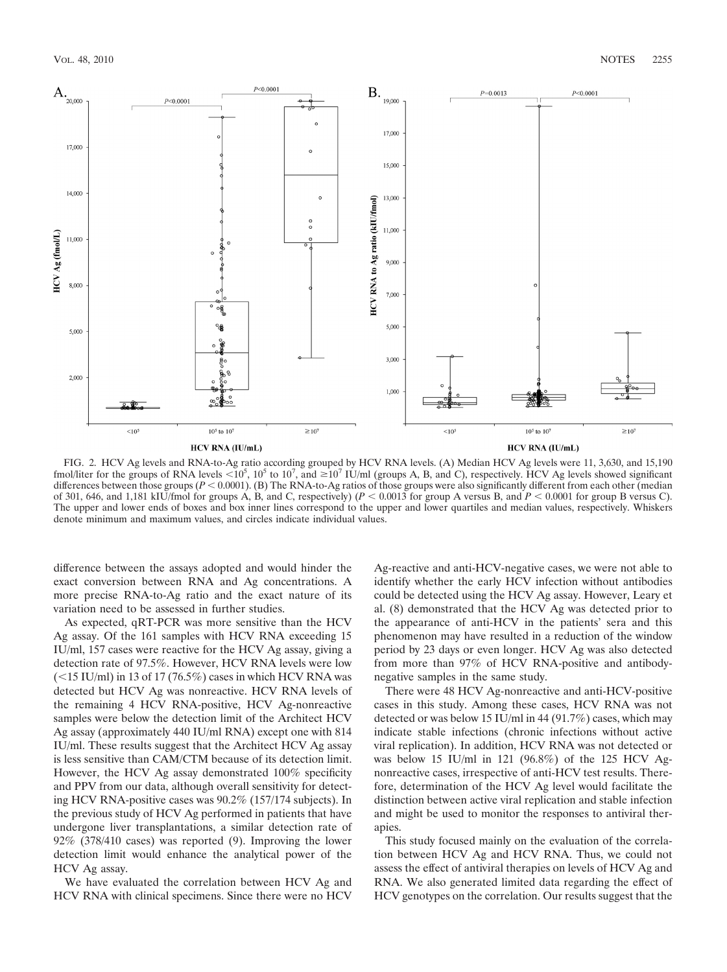

FIG. 2. HCV Ag levels and RNA-to-Ag ratio according grouped by HCV RNA levels. (A) Median HCV Ag levels were 11, 3,630, and 15,190 fmol/liter for the groups of RNA levels  $\lt 10^5$ ,  $10^5$  to  $10^7$ , and  $\ge 10^7$  IU/ml (groups A, B, and C), respectively. HCV Ag levels showed significant differences between those groups ( $P < 0.0001$ ). (B) The RNA-to-Ag ratios of those groups were also significantly different from each other (median of 301, 646, and 1,181 kIU/fmol for groups A, B, and C, respectively)  $(P < 0.0013$  for group A versus B, and  $P < 0.0001$  for group B versus C). The upper and lower ends of boxes and box inner lines correspond to the upper and lower quartiles and median values, respectively. Whiskers denote minimum and maximum values, and circles indicate individual values.

difference between the assays adopted and would hinder the exact conversion between RNA and Ag concentrations. A more precise RNA-to-Ag ratio and the exact nature of its variation need to be assessed in further studies.

As expected, qRT-PCR was more sensitive than the HCV Ag assay. Of the 161 samples with HCV RNA exceeding 15 IU/ml, 157 cases were reactive for the HCV Ag assay, giving a detection rate of 97.5%. However, HCV RNA levels were low  $(<$ 15 IU/ml) in 13 of 17 (76.5%) cases in which HCV RNA was detected but HCV Ag was nonreactive. HCV RNA levels of the remaining 4 HCV RNA-positive, HCV Ag-nonreactive samples were below the detection limit of the Architect HCV Ag assay (approximately 440 IU/ml RNA) except one with 814 IU/ml. These results suggest that the Architect HCV Ag assay is less sensitive than CAM/CTM because of its detection limit. However, the HCV Ag assay demonstrated 100% specificity and PPV from our data, although overall sensitivity for detecting HCV RNA-positive cases was 90.2% (157/174 subjects). In the previous study of HCV Ag performed in patients that have undergone liver transplantations, a similar detection rate of 92% (378/410 cases) was reported (9). Improving the lower detection limit would enhance the analytical power of the HCV Ag assay.

We have evaluated the correlation between HCV Ag and HCV RNA with clinical specimens. Since there were no HCV

Ag-reactive and anti-HCV-negative cases, we were not able to identify whether the early HCV infection without antibodies could be detected using the HCV Ag assay. However, Leary et al. (8) demonstrated that the HCV Ag was detected prior to the appearance of anti-HCV in the patients' sera and this phenomenon may have resulted in a reduction of the window period by 23 days or even longer. HCV Ag was also detected from more than 97% of HCV RNA-positive and antibodynegative samples in the same study.

There were 48 HCV Ag-nonreactive and anti-HCV-positive cases in this study. Among these cases, HCV RNA was not detected or was below 15 IU/ml in 44 (91.7%) cases, which may indicate stable infections (chronic infections without active viral replication). In addition, HCV RNA was not detected or was below 15 IU/ml in 121 (96.8%) of the 125 HCV Agnonreactive cases, irrespective of anti-HCV test results. Therefore, determination of the HCV Ag level would facilitate the distinction between active viral replication and stable infection and might be used to monitor the responses to antiviral therapies.

This study focused mainly on the evaluation of the correlation between HCV Ag and HCV RNA. Thus, we could not assess the effect of antiviral therapies on levels of HCV Ag and RNA. We also generated limited data regarding the effect of HCV genotypes on the correlation. Our results suggest that the